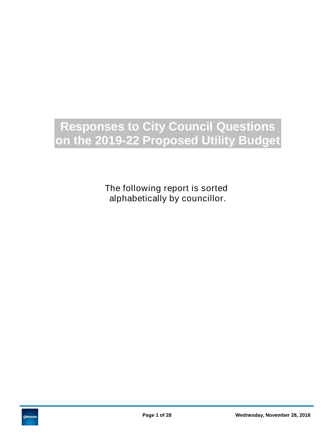# **Responses to City Council Questions on the 2019-22 Proposed Utility Budget**

The following report is sorted alphabetically by councillor.

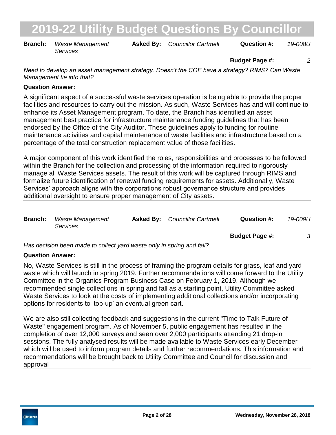**Branch:** Waste Management **Asked By:** Councillor Cartmell **Question #:** 19-008U *Services*

**Budget Page #:** *2*

*Need to develop an asset management strategy. Doesn't the COE have a strategy? RIMS? Can Waste Management tie into that?*

### **Question Answer:**

A significant aspect of a successful waste services operation is being able to provide the proper facilities and resources to carry out the mission. As such, Waste Services has and will continue to enhance its Asset Management program. To date, the Branch has identified an asset management best practice for infrastructure maintenance funding guidelines that has been endorsed by the Office of the City Auditor. These guidelines apply to funding for routine maintenance activities and capital maintenance of waste facilities and infrastructure based on a percentage of the total construction replacement value of those facilities.

A major component of this work identified the roles, responsibilities and processes to be followed within the Branch for the collection and processing of the information required to rigorously manage all Waste Services assets. The result of this work will be captured through RIMS and formalize future identification of renewal funding requirements for assets. Additionally, Waste Services' approach aligns with the corporations robust governance structure and provides additional oversight to ensure proper management of City assets.

| <b>Branch:</b> | <b>Waste Management</b><br>Services | <b>Asked By:</b> Councillor Cartmell | Question #:           | 19-009U |
|----------------|-------------------------------------|--------------------------------------|-----------------------|---------|
|                |                                     |                                      | <b>Budget Page #:</b> |         |

*Has decision been made to collect yard waste only in spring and fall?*

### **Question Answer:**

No, Waste Services is still in the process of framing the program details for grass, leaf and yard waste which will launch in spring 2019. Further recommendations will come forward to the Utility Committee in the Organics Program Business Case on February 1, 2019. Although we recommended single collections in spring and fall as a starting point, Utility Committee asked Waste Services to look at the costs of implementing additional collections and/or incorporating options for residents to 'top-up' an eventual green cart.

We are also still collecting feedback and suggestions in the current "Time to Talk Future of Waste" engagement program. As of November 5, public engagement has resulted in the completion of over 12,000 surveys and seen over 2,000 participants attending 21 drop-in sessions. The fully analysed results will be made available to Waste Services early December which will be used to inform program details and further recommendations. This information and recommendations will be brought back to Utility Committee and Council for discussion and approval

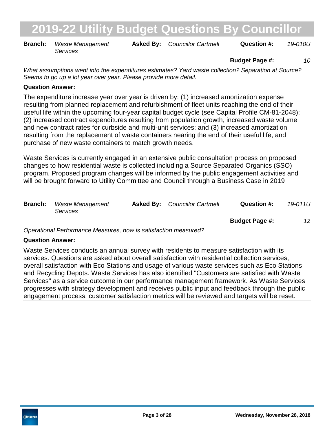**Branch:** Waste Management **Asked By:** Councillor Cartmell **Question #:** 19-010U *Services*

**Budget Page #:** *10*

*What assumptions went into the expenditures estimates? Yard waste collection? Separation at Source? Seems to go up a lot year over year. Please provide more detail.*

### **Question Answer:**

The expenditure increase year over year is driven by: (1) increased amortization expense resulting from planned replacement and refurbishment of fleet units reaching the end of their useful life within the upcoming four-year capital budget cycle (see Capital Profile CM-81-2048); (2) increased contract expenditures resulting from population growth, increased waste volume and new contract rates for curbside and multi-unit services; and (3) increased amortization resulting from the replacement of waste containers nearing the end of their useful life, and purchase of new waste containers to match growth needs.

Waste Services is currently engaged in an extensive public consultation process on proposed changes to how residential waste is collected including a Source Separated Organics (SSO) program. Proposed program changes will be informed by the public engagement activities and will be brought forward to Utility Committee and Council through a Business Case in 2019

| <b>Branch:</b> | Waste Management<br>Services | <b>Asked By:</b> Councillor Cartmell | Question #: | 19-011U |
|----------------|------------------------------|--------------------------------------|-------------|---------|
|                |                              |                                      |             |         |

**Budget Page #:** *12*

*Operational Performance Measures, how is satisfaction measured?*

### **Question Answer:**

Waste Services conducts an annual survey with residents to measure satisfaction with its services. Questions are asked about overall satisfaction with residential collection services, overall satisfaction with Eco Stations and usage of various waste services such as Eco Stations and Recycling Depots. Waste Services has also identified "Customers are satisfied with Waste Services" as a service outcome in our performance management framework. As Waste Services progresses with strategy development and receives public input and feedback through the public engagement process, customer satisfaction metrics will be reviewed and targets will be reset.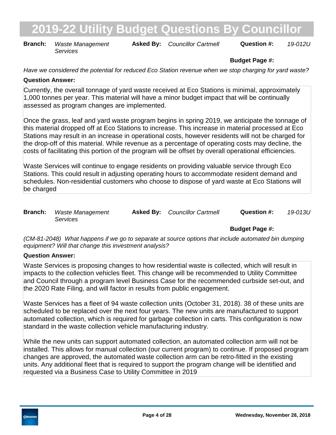**Branch:** Waste Management **Asked By:** Councillor Cartmell **Question #:** 19-012U *Services*

### **Budget Page #:**

*Have we considered the potential for reduced Eco Station revenue when we stop charging for yard waste?*

### **Question Answer:**

Currently, the overall tonnage of yard waste received at Eco Stations is minimal, approximately 1,000 tonnes per year. This material will have a minor budget impact that will be continually assessed as program changes are implemented.

Once the grass, leaf and yard waste program begins in spring 2019, we anticipate the tonnage of this material dropped off at Eco Stations to increase. This increase in material processed at Eco Stations may result in an increase in operational costs, however residents will not be charged for the drop-off of this material. While revenue as a percentage of operating costs may decline, the costs of facilitating this portion of the program will be offset by overall operational efficiencies.

Waste Services will continue to engage residents on providing valuable service through Eco Stations. This could result in adjusting operating hours to accommodate resident demand and schedules. Non-residential customers who choose to dispose of yard waste at Eco Stations will be charged

| <b>Branch:</b> Waste Management | <b>Asked By:</b> Councillor Cartmell | Question #: | 19-013U |
|---------------------------------|--------------------------------------|-------------|---------|
| <i>Services</i>                 |                                      |             |         |

### **Budget Page #:**

*(CM-81-2048) What happens if we go to separate at source options that include automated bin dumping equipment? Will that change this investment analysis?*

### **Question Answer:**

Waste Services is proposing changes to how residential waste is collected, which will result in impacts to the collection vehicles fleet. This change will be recommended to Utility Committee and Council through a program level Business Case for the recommended curbside set-out, and the 2020 Rate Filing, and will factor in results from public engagement.

Waste Services has a fleet of 94 waste collection units (October 31, 2018). 38 of these units are scheduled to be replaced over the next four years. The new units are manufactured to support automated collection, which is required for garbage collection in carts. This configuration is now standard in the waste collection vehicle manufacturing industry.

While the new units can support automated collection, an automated collection arm will not be installed. This allows for manual collection (our current program) to continue. If proposed program changes are approved, the automated waste collection arm can be retro-fitted in the existing units. Any additional fleet that is required to support the program change will be identified and requested via a Business Case to Utility Committee in 2019

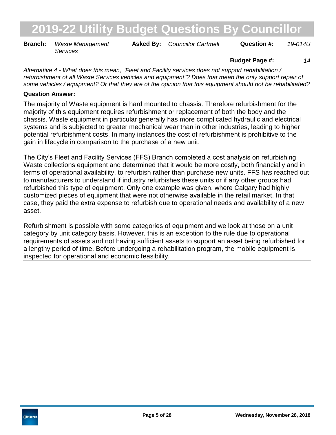**Branch:** Waste Management **Asked By:** Councillor Cartmell **Question #:** 19-014U *Services*

### **Budget Page #:** *14*

*Alternative 4 - What does this mean, "Fleet and Facility services does not support rehabilitation / refurbishment of all Waste Services vehicles and equipment"? Does that mean the only support repair of some vehicles / equipment? Or that they are of the opinion that this equipment should not be rehabilitated?*

#### **Question Answer:**

The majority of Waste equipment is hard mounted to chassis. Therefore refurbishment for the majority of this equipment requires refurbishment or replacement of both the body and the chassis. Waste equipment in particular generally has more complicated hydraulic and electrical systems and is subjected to greater mechanical wear than in other industries, leading to higher potential refurbishment costs. In many instances the cost of refurbishment is prohibitive to the gain in lifecycle in comparison to the purchase of a new unit.

The City's Fleet and Facility Services (FFS) Branch completed a cost analysis on refurbishing Waste collections equipment and determined that it would be more costly, both financially and in terms of operational availability, to refurbish rather than purchase new units. FFS has reached out to manufacturers to understand if industry refurbishes these units or if any other groups had refurbished this type of equipment. Only one example was given, where Calgary had highly customized pieces of equipment that were not otherwise available in the retail market. In that case, they paid the extra expense to refurbish due to operational needs and availability of a new asset.

Refurbishment is possible with some categories of equipment and we look at those on a unit category by unit category basis. However, this is an exception to the rule due to operational requirements of assets and not having sufficient assets to support an asset being refurbished for a lengthy period of time. Before undergoing a rehabilitation program, the mobile equipment is inspected for operational and economic feasibility.

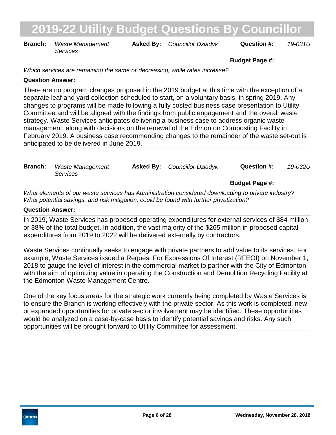**Branch:** Waste Management **Asked By:** Councillor Dziadyk **Question #:** 19-031U *Services*

**Budget Page #:**

*Which services are remaining the same or decreasing, while rates increase?*

#### **Question Answer:**

There are no program changes proposed in the 2019 budget at this time with the exception of a separate leaf and yard collection scheduled to start, on a voluntary basis, in spring 2019. Any changes to programs will be made following a fully costed business case presentation to Utility Committee and will be aligned with the findings from public engagement and the overall waste strategy. Waste Services anticipates delivering a business case to address organic waste management, along with decisions on the renewal of the Edmonton Composting Facility in February 2019. A business case recommending changes to the remainder of the waste set-out is anticipated to be delivered in June 2019.

| <b>Branch:</b> Waste Management | <b>Asked By:</b> Councillor Dziadyk | Question #: | 19-032U |
|---------------------------------|-------------------------------------|-------------|---------|
| Services                        |                                     |             |         |

**Budget Page #:**

*What elements of our waste services has Administration considered downloading to private industry? What potential savings, and risk mitigation, could be found with further privatization?*

#### **Question Answer:**

In 2019, Waste Services has proposed operating expenditures for external services of \$84 million or 38% of the total budget. In addition, the vast majority of the \$265 million in proposed capital expenditures from 2019 to 2022 will be delivered externally by contractors.

Waste Services continually seeks to engage with private partners to add value to its services. For example, Waste Services issued a Request For Expressions Of Interest (RFEOI) on November 1, 2018 to gauge the level of interest in the commercial market to partner with the City of Edmonton with the aim of optimizing value in operating the Construction and Demolition Recycling Facility at the Edmonton Waste Management Centre.

One of the key focus areas for the strategic work currently being completed by Waste Services is to ensure the Branch is working effectively with the private sector. As this work is completed, new or expanded opportunities for private sector involvement may be identified. These opportunities would be analyzed on a case-by-case basis to identify potential savings and risks. Any such opportunities will be brought forward to Utility Committee for assessment.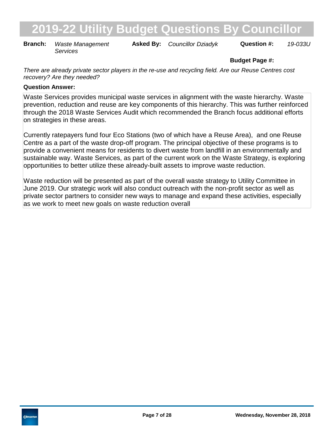**Branch:** Waste Management **Asked By:** Councillor Dziadyk **Question #:** 19-033U *Services*

### **Budget Page #:**

*There are already private sector players in the re-use and recycling field. Are our Reuse Centres cost recovery? Are they needed?*

### **Question Answer:**

Waste Services provides municipal waste services in alignment with the waste hierarchy. Waste prevention, reduction and reuse are key components of this hierarchy. This was further reinforced through the 2018 Waste Services Audit which recommended the Branch focus additional efforts on strategies in these areas.

Currently ratepayers fund four Eco Stations (two of which have a Reuse Area), and one Reuse Centre as a part of the waste drop-off program. The principal objective of these programs is to provide a convenient means for residents to divert waste from landfill in an environmentally and sustainable way. Waste Services, as part of the current work on the Waste Strategy, is exploring opportunities to better utilize these already-built assets to improve waste reduction.

Waste reduction will be presented as part of the overall waste strategy to Utility Committee in June 2019. Our strategic work will also conduct outreach with the non-profit sector as well as private sector partners to consider new ways to manage and expand these activities, especially as we work to meet new goals on waste reduction overall

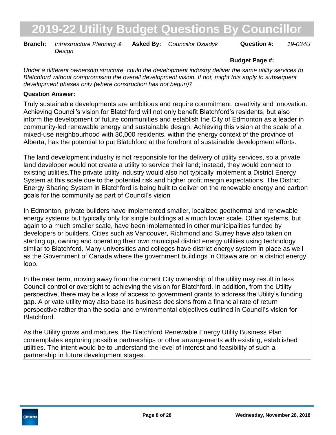**Branch:** Infrastructure Planning & Asked By: Councillor Dziadyk Question #: 19-034U *Design*

### **Budget Page #:**

*Under a different ownership structure, could the development industry deliver the same utility services to Blatchford without compromising the overall development vision. If not, might this apply to subsequent development phases only (where construction has not begun)?*

#### **Question Answer:**

Truly sustainable developments are ambitious and require commitment, creativity and innovation. Achieving Council's vision for Blatchford will not only benefit Blatchford's residents, but also inform the development of future communities and establish the City of Edmonton as a leader in community-led renewable energy and sustainable design. Achieving this vision at the scale of a mixed-use neighbourhood with 30,000 residents, within the energy context of the province of Alberta, has the potential to put Blatchford at the forefront of sustainable development efforts.

The land development industry is not responsible for the delivery of utility services, so a private land developer would not create a utility to service their land; instead, they would connect to existing utilities.The private utility industry would also not typically implement a District Energy System at this scale due to the potential risk and higher profit margin expectations. The District Energy Sharing System in Blatchford is being built to deliver on the renewable energy and carbon goals for the community as part of Council's vision

In Edmonton, private builders have implemented smaller, localized geothermal and renewable energy systems but typically only for single buildings at a much lower scale. Other systems, but again to a much smaller scale, have been implemented in other municipalities funded by developers or builders. Cities such as Vancouver, Richmond and Surrey have also taken on starting up, owning and operating their own municipal district energy utilities using technology similar to Blatchford. Many universities and colleges have district energy system in place as well as the Government of Canada where the government buildings in Ottawa are on a district energy loop.

In the near term, moving away from the current City ownership of the utility may result in less Council control or oversight to achieving the vision for Blatchford. In addition, from the Utility perspective, there may be a loss of access to government grants to address the Utility's funding gap. A private utility may also base its business decisions from a financial rate of return perspective rather than the social and environmental objectives outlined in Council's vision for Blatchford.

As the Utility grows and matures, the Blatchford Renewable Energy Utility Business Plan contemplates exploring possible partnerships or other arrangements with existing, established utilities. The intent would be to understand the level of interest and feasibility of such a partnership in future development stages.

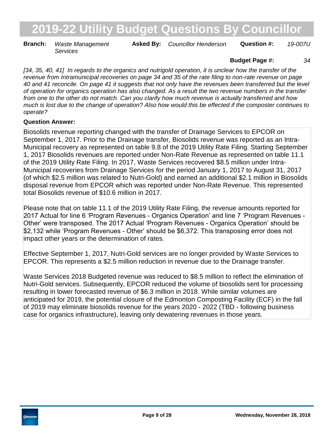**Branch:** Waste Management **Asked By:** Councillor Henderson **Question #:** 19-007U *Services*

#### **Budget Page #:** *34*

*[34, 35, 40, 41] In regards to the organics and nutrigold operation, it is unclear how the transfer of the revenue from Intramunicipal recoveries on page 34 and 35 of the rate filing to non-rate revenue on page 40 and 41 reconcile. On page 41 it suggests that not only have the revenues been transferred but the level of operation for organics operation has also changed. As a result the two revenue numbers in the transfer from one to the other do not match. Can you clarify how much revenue is actually transferred and how much is lost due to the change of operation? Also how would this be effected if the composter continues to operate?*

### **Question Answer:**

Biosolids revenue reporting changed with the transfer of Drainage Services to EPCOR on September 1, 2017. Prior to the Drainage transfer, Biosolids revenue was reported as an Intra-Municipal recovery as represented on table 9.8 of the 2019 Utility Rate Filing. Starting September 1, 2017 Biosolids revenues are reported under Non-Rate Revenue as represented on table 11.1 of the 2019 Utility Rate Filing. In 2017, Waste Services recovered \$8.5 million under Intra-Municipal recoveries from Drainage Services for the period January 1, 2017 to August 31, 2017 (of which \$2.5 million was related to Nutri-Gold) and earned an additional \$2.1 million in Biosolids disposal revenue from EPCOR which was reported under Non-Rate Revenue. This represented total Biosolids revenue of \$10.6 million in 2017.

Please note that on table 11.1 of the 2019 Utility Rate Filing, the revenue amounts reported for 2017 Actual for line 6 'Program Revenues - Organics Operation' and line 7 'Program Revenues - Other' were transposed. The 2017 Actual 'Program Revenues - Organics Operation' should be \$2,132 while 'Program Revenues - Other' should be \$6,372. This transposing error does not impact other years or the determination of rates.

Effective September 1, 2017, Nutri-Gold services are no longer provided by Waste Services to EPCOR. This represents a \$2.5 million reduction in revenue due to the Drainage transfer.

Waste Services 2018 Budgeted revenue was reduced to \$8.5 million to reflect the elimination of Nutri-Gold services. Subsequently, EPCOR reduced the volume of biosolids sent for processing resulting in lower forecasted revenue of \$6.3 million in 2018. While similar volumes are anticipated for 2019, the potential closure of the Edmonton Composting Facility (ECF) in the fall of 2019 may eliminate biosolids revenue for the years 2020 - 2022 (TBD - following business case for organics infrastructure), leaving only dewatering revenues in those years.

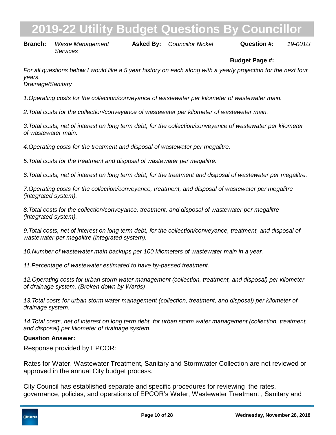**Branch:** Waste Management **Asked By:** Councillor Nickel **Question #:** 19-001U *Services*

### **Budget Page #:**

*For all questions below I would like a 5 year history on each along with a yearly projection for the next four years.*

*Drainage/Sanitary*

*1. Operating costs for the collection/conveyance of wastewater per kilometer of wastewater main.*

2. Total costs for the collection/conveyance of wastewater per kilometer of wastewater main.

*3. Total costs, net of interest on long term debt, for the collection/conveyance of wastewater per kilometer of wastewater main.*

*4. Operating costs for the treatment and disposal of wastewater per megalitre.*

*5. Total costs for the treatment and disposal of wastewater per megalitre.*

*6. Total costs, net of interest on long term debt, for the treatment and disposal of wastewater per megalitre.*

*7. Operating costs for the collection/conveyance, treatment, and disposal of wastewater per megalitre (integrated system).*

*8. Total costs for the collection/conveyance, treatment, and disposal of wastewater per megalitre (integrated system).*

*9. Total costs, net of interest on long term debt, for the collection/conveyance, treatment, and disposal of wastewater per megalitre (integrated system).*

*10. Number of wastewater main backups per 100 kilometers of wastewater main in a year.*

11. Percentage of wastewater estimated to have by-passed treatment.

*12. Operating costs for urban storm water management (collection, treatment, and disposal) per kilometer of drainage system. (Broken down by Wards)*

13. Total costs for urban storm water management (collection, treatment, and disposal) per kilometer of *drainage system.*

14. Total costs, net of interest on long term debt, for urban storm water management (collection, treatment, *and disposal) per kilometer of drainage system.*

### **Question Answer:**

Response provided by EPCOR:

Rates for Water, Wastewater Treatment, Sanitary and Stormwater Collection are not reviewed or approved in the annual City budget process.

City Council has established separate and specific procedures for reviewing the rates, governance, policies, and operations of EPCOR's Water, Wastewater Treatment , Sanitary and

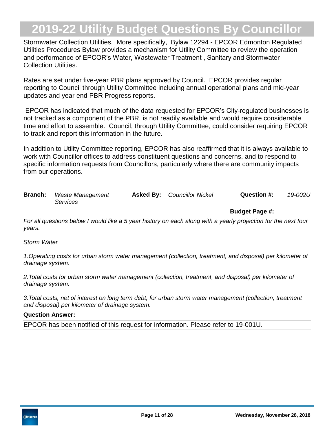Stormwater Collection Utilities. More specifically, Bylaw 12294 - EPCOR Edmonton Regulated Utilities Procedures Bylaw provides a mechanism for Utility Committee to review the operation and performance of EPCOR's Water, Wastewater Treatment , Sanitary and Stormwater Collection Utilities.

Rates are set under five-year PBR plans approved by Council. EPCOR provides regular reporting to Council through Utility Committee including annual operational plans and mid-year updates and year end PBR Progress reports.

 EPCOR has indicated that much of the data requested for EPCOR's City-regulated businesses is not tracked as a component of the PBR, is not readily available and would require considerable time and effort to assemble. Council, through Utility Committee, could consider requiring EPCOR to track and report this information in the future.

In addition to Utility Committee reporting, EPCOR has also reaffirmed that it is always available to work with Councillor offices to address constituent questions and concerns, and to respond to specific information requests from Councillors, particularly where there are community impacts from our operations.

| <b>Branch:</b> Waste Management | <b>Asked By:</b> Councillor Nickel | Question #: | 19-002U |
|---------------------------------|------------------------------------|-------------|---------|
| <i>Services</i>                 |                                    |             |         |

*For all questions below I would like a 5 year history on each along with a yearly projection for the next four years.*

#### *Storm Water*

*1. Operating costs for urban storm water management (collection, treatment, and disposal) per kilometer of drainage system.*

2. Total costs for urban storm water management (collection, treatment, and disposal) per kilometer of *drainage system.*

*3. Total costs, net of interest on long term debt, for urban storm water management (collection, treatment and disposal) per kilometer of drainage system.*

#### **Question Answer:**

EPCOR has been notified of this request for information. Please refer to 19-001U.

**Budget Page #:**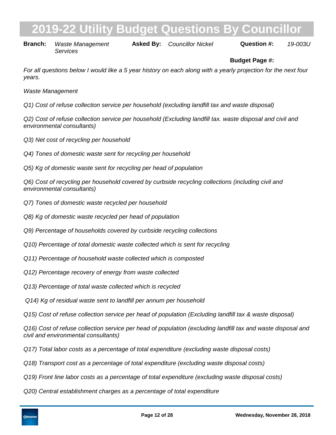# **2019 - 2019 Ity Budget Questions By Council**

**Branch:** Waste Management *Services*

**Asked By:**

*Councillor Nickel 19-003U*

### **Budget Page #:**

*For all questions below I would like a 5 year history on each along with a yearly projection for the next four years.*

*Waste Management*

*Q1) Cost of refuse collection service per household (excluding landfill tax and waste disposal)*

*Q2) Cost of refuse collection service per household (Excluding landfill tax. waste disposal and civil and environmental consultants)*

- *Q3) Net cost of recycling per household*
- *Q4) Tones of domestic waste sent for recycling per household*
- *Q5) Kg of domestic waste sent for recycling per head of population*

*Q6) Cost of recycling per household covered by curbside recycling collections (including civil and environmental consultants)*

- *Q7) Tones of domestic waste recycled per household*
- *Q8) Kg of domestic waste recycled per head of population*
- *Q9) Percentage of households covered by curbside recycling collections*
- *Q10) Percentage of total domestic waste collected which is sent for recycling*
- *Q11) Percentage of household waste collected which is composted*
- *Q12) Percentage recovery of energy from waste collected*
- *Q13) Percentage of total waste collected which is recycled*
- *Q14) Kg of residual waste sent to landfill per annum per household*
- *Q15) Cost of refuse collection service per head of population (Excluding landfill tax & waste disposal)*

*Q16) Cost of refuse collection service per head of population (excluding landfill tax and waste disposal and civil and environmental consultants)*

- *Q17) Total labor costs as a percentage of total expenditure (excluding waste disposal costs)*
- *Q18) Transport cost as a percentage of total expenditure (excluding waste disposal costs)*
- *Q19) Front line labor costs as a percentage of total expenditure (excluding waste disposal costs)*
- *Q20) Central establishment charges as a percentage of total expenditure*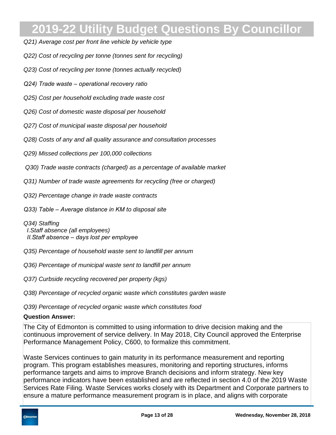- *Q21) Average cost per front line vehicle by vehicle type*
- *Q22) Cost of recycling per tonne (tonnes sent for recycling)*
- *Q23) Cost of recycling per tonne (tonnes actually recycled)*
- *Q24) Trade waste operational recovery ratio*
- *Q25) Cost per household excluding trade waste cost*
- *Q26) Cost of domestic waste disposal per household*
- *Q27) Cost of municipal waste disposal per household*
- *Q28) Costs of any and all quality assurance and consultation processes*
- *Q29) Missed collections per 100,000 collections*
- *Q30) Trade waste contracts (charged) as a percentage of available market*
- *Q31) Number of trade waste agreements for recycling (free or charged)*
- *Q32) Percentage change in trade waste contracts*
- *Q33) Table Average distance in KM to disposal site*
- *Q34) Staffing I. Staff absence (all employees) II. Staff absence – days lost per employee*
- *Q35) Percentage of household waste sent to landfill per annum*
- *Q36) Percentage of municipal waste sent to landfill per annum*
- *Q37) Curbside recycling recovered per property (kgs)*
- *Q38) Percentage of recycled organic waste which constitutes garden waste*
- *Q39) Percentage of recycled organic waste which constitutes food*

### **Question Answer:**

The City of Edmonton is committed to using information to drive decision making and the continuous improvement of service delivery. In May 2018, City Council approved the Enterprise Performance Management Policy, C600, to formalize this commitment.

Waste Services continues to gain maturity in its performance measurement and reporting program. This program establishes measures, monitoring and reporting structures, informs performance targets and aims to improve Branch decisions and inform strategy. New key performance indicators have been established and are reflected in section 4.0 of the 2019 Waste Services Rate Filing. Waste Services works closely with its Department and Corporate partners to ensure a mature performance measurement program is in place, and aligns with corporate

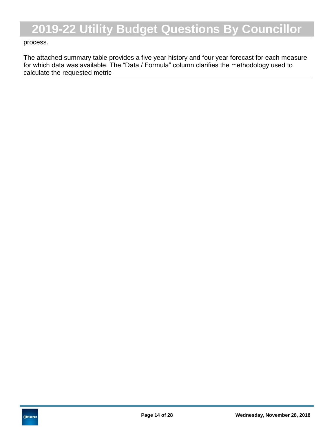### process.

The attached summary table provides a five year history and four year forecast for each measure for which data was available. The "Data / Formula" column clarifies the methodology used to calculate the requested metric

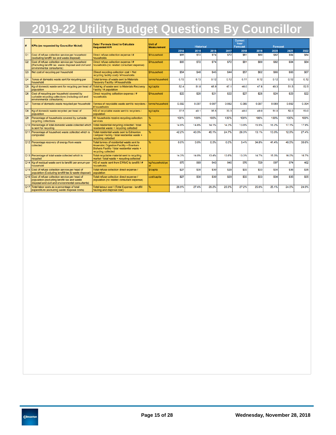| #                      | Data / Formula Used to Calculate<br><b>KPIs (as requested by Councillor Nickel)</b><br><b>Requested KPI</b>                                            |                                                                                                                                                             | <b>Unit of</b>     | <b>Historical</b> |       |             |       | <b>Current</b><br>Year<br><b>Forecast</b><br><b>Forecast</b> |       |       |             |       |
|------------------------|--------------------------------------------------------------------------------------------------------------------------------------------------------|-------------------------------------------------------------------------------------------------------------------------------------------------------------|--------------------|-------------------|-------|-------------|-------|--------------------------------------------------------------|-------|-------|-------------|-------|
|                        |                                                                                                                                                        |                                                                                                                                                             | <b>Measurement</b> | 2014              | 2015  | 2016        | 2017  | 2018                                                         | 2019  | 2020  | 2021        | 2022  |
| lO1                    | Cost of refuse collection service per household<br>(excluding landfill tax and waste disposal)                                                         | Direct refuse collection expense / #<br>households                                                                                                          | \$/household       | \$65              | \$72  | <b>S74</b>  | \$72  | <b>S81</b>                                                   | \$80  | \$82  | <b>\$84</b> | \$84  |
| Q2                     | Cost of refuse collection service per household<br>(Excluding landfill tax. waste disposal and civil and<br>environmental consultants)                 | Direct refuse collection expense / #<br>households (no related consultant expense)                                                                          | \$/household       | \$65              | \$72  | <b>\$74</b> | \$72  | <b>S81</b>                                                   | \$80  | \$82  | <b>\$84</b> | \$84  |
| lo <sub>3</sub>        | Net cost of recycling per household                                                                                                                    | (Direct recycling collection cost + Net<br>recycling facility cost) / # housholds                                                                           | \$/household       | \$54              | \$48  | <b>S45</b>  | \$44  | <b>S57</b>                                                   | \$62  | \$66  | <b>S66</b>  | \$67  |
| Q4                     | Tones of domestic waste sent for recycling per<br>household                                                                                            | Total tonnes of waste sent to Materials<br>Recovery Facility / # households                                                                                 | tonne/household    | 0.13              | 0.13  | 0.12        | 0.12  | 0.11                                                         | 0.12  | 0.12  | 0.12        | 0.12  |
| $\overline{\text{O5}}$ | Kg of domestic waste sent for recycling per head of<br>population                                                                                      | Total kg of waste sent to Materials Recovery<br>Facility / # population                                                                                     | kg/capita          | 52.4              | 51.8  | 48.9        | 47.1  | 46.0                                                         | 47.8  | 49.3  | 51.5        | 52.5  |
| <b>Q6</b>              | Cost of recycling per household covered by<br>curbside recycling collections (including civil and<br>environmental consultants)                        | Direct recycling collection expense / #<br>households                                                                                                       | \$/household       | \$22              | \$20  | <b>\$21</b> | \$22  | <b>\$27</b>                                                  | \$25  | \$24  | \$23        | \$22  |
| $ _{\mathrm{Q7}}$      | Tonnes of domestic waste recycled per household                                                                                                        | Tonnes of recyclable waste sent to recyclers /<br># households                                                                                              | tonne/household    | 0.092             | 0.097 | 0.087       | 0.082 | 0.069                                                        | 0.087 | 0.089 | 0.092       | 0.094 |
| <b>Q8</b>              | Kg of domestic waste recycled per head of<br>population                                                                                                | KG of recyclable waste sent to recyclers /<br>population                                                                                                    | kg/capita          | 37.5              | 40.1  | 35.5        | 33.3  | 48.0                                                         | 49.0  | 51.0  | 52.0        | 53.0  |
| Q9                     | Percentage of households covered by curbside<br>recycling collections                                                                                  | All households receive recycling collection<br>services                                                                                                     |                    | 100%              | 100%  | 100%        | 100%  | 100%                                                         | 100%  | 100%  | 100%        | 100%  |
|                        | Q10 Percentage of total domestic waste collected which<br>is sent for recycling                                                                        | Total residential recycling collected / total<br>residential waste + recycling collected                                                                    | %                  | 14.9%             | 14.8% | 14.1%       | 14.3% | 13.9%                                                        | 15.5% | 16.2% | 17.1%       | 17.9% |
|                        | Q11 Percentage of household waste collected which is<br>composted                                                                                      | Total residential waste sent to Edmonton<br>Compost Facility / total residential waste +<br>recycling collected                                             |                    | 42.2%             | 43.3% | 45.1%       | 24.7% | 26.3%                                                        | 13.1% | 13.0% | 12.9%       | 27.4% |
|                        | Q12 Percentage recovery of energy from waste<br>collected                                                                                              | Total tonnes of residential waste sent to<br>Anaerobic Digestion Facility + Enerkem<br>Biofuels Facility / total residential waste +<br>recycling collected |                    | 0.0%              | 0.0%  | 0.0%        | 0.0%  | 3.4%                                                         | 34.8% | 41.4% | 40.5%       | 39.6% |
|                        | Q13 Percentage of total waste collected which is<br>recycled                                                                                           | Total recyclable material sent to recycling<br>market / total waste + recycling collected                                                                   |                    | 14.3%             | 14.0% | 13.4%       | 13.6% | 13.3%                                                        | 14.7% | 15.3% | 16.0%       | 16.7% |
|                        | Q14 Kg of residual waste sent to landfill per annum per<br>household                                                                                   | KG of waste sent from EWMC to landfill / #<br>households                                                                                                    | kg/household/ve    | 875               | 869   | 943         | 946   | 976                                                          | 729   | 597   | 574         | 462   |
|                        | Q15 Cost of refuse collection service per head of<br>population (Excluding landfill tax & waste disposal)                                              | Total refuse collection direct expense /<br>population                                                                                                      | \$/capita          | \$27              | \$30  | <b>\$30</b> | \$29  | \$33                                                         | \$33  | \$34  | <b>\$35</b> | \$35  |
|                        | Q16 Cost of refuse collection service per head of<br>population (excluding landfill tax and waste<br>disposal and civil and environmental consultants) | Total refuse collection direct expense /<br>population (no related consultant expense)                                                                      | cost/capita        | \$27              | \$30  | <b>S30</b>  | \$29  | <b>S33</b>                                                   | \$33  | \$34  | <b>\$35</b> | \$35  |
|                        | Q17 Total labor costs as a percentage of total<br>expenditure (excluding waste disposal costs)                                                         | Total labour cost / (Total Expense - landfill<br>hauling and disposal cost)                                                                                 | %                  | 26.9%             | 27.4% | 29.2%       | 25.9% | 27.2%                                                        | 25.0% | 25.1% | 24.5%       | 24.0% |

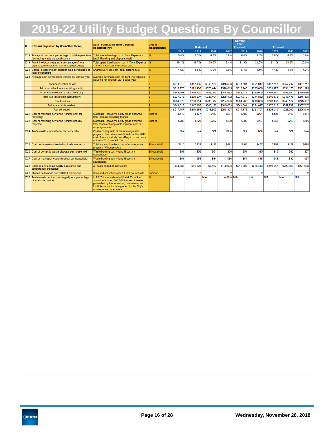| # | <b>KPIs (as requested by Councillor Nickel)</b>                                                     | Data / Formula Used to Calculate<br><b>Requested KPI</b>                                                                                                                                                           | <b>Unit of</b><br><b>Measurement</b> |              | <b>Historical</b> |                |           | <b>Current</b><br>Year<br><b>Forecast</b> |                | <b>Forecast</b> |                |              |
|---|-----------------------------------------------------------------------------------------------------|--------------------------------------------------------------------------------------------------------------------------------------------------------------------------------------------------------------------|--------------------------------------|--------------|-------------------|----------------|-----------|-------------------------------------------|----------------|-----------------|----------------|--------------|
|   |                                                                                                     |                                                                                                                                                                                                                    |                                      | 2014         | 2015              | 2016           | 2017      | 2018                                      | 2019           | 2020            | 2021           | 2022         |
|   | Q18 Transport cost as a percentage of total expenditure<br>(excluding waste disposal costs)         | Total waste hauling cost / (Total Expense -<br>landfill hauling and disposal cost)                                                                                                                                 |                                      | 5.4%         | 5.3%              | 6.5%           | 5.6%      | 6.4%                                      | 7.0%           | 7.0%            | 6.4%           | 6.0%         |
|   | Q19 Front line labor costs as a percentage of total<br>expenditure (excluding waste disposal costs) | Total operational labour cost / (Total Expense<br>landfill hauling and disposal cost)                                                                                                                              |                                      | 18.1%        | 18.7%             | 20.0%          | 18.4%     | 21.3%                                     | 21.0%          | 21.1%           | 20.8%          | 20.5%        |
|   | Q20 Central establishment charges as a percentage of<br>total expenditure                           | Shared Services cost / total expenditure                                                                                                                                                                           |                                      | 4.6%         | 5.6%              | 5.5%           | 5.0%      | 5.1%                                      | 4.4%           | 4.4%            | 4.3%           | 4.3%         |
|   | Q21 Average cost per front line vehicle by vehicle type                                             | Average purchase cost for front line vehicles,<br>adiusted for inflation. 2018 base year                                                                                                                           |                                      |              |                   |                |           |                                           |                |                 |                |              |
|   | <b>Tandem collection trucks</b>                                                                     |                                                                                                                                                                                                                    |                                      | \$344,318    | \$347,165         | \$346,126      | \$345,663 | \$344,501                                 | \$351,047      | \$357,717       | \$357,717      | \$357,717    |
|   | Midsize collection trucks (single axle)                                                             |                                                                                                                                                                                                                    |                                      | \$318,770    | \$321.406         | \$320,444      | \$320,015 | \$318,940                                 | \$325,000      | \$331,175       | \$331.175      | \$331.175    |
|   | Front end collection trucks (front bin)                                                             |                                                                                                                                                                                                                    |                                      | \$343.291    | \$346,130         | \$345.093      | \$344,632 | \$343,474                                 | \$350,000      | \$356,650       | \$356,650      | \$356,650    |
|   | Haul Alls (collection truck/trailer)                                                                |                                                                                                                                                                                                                    |                                      | \$237,245    | \$239,207         | \$238,491      | \$238,172 | \$237,372                                 | \$241,882      | \$246,478       | \$246,478      | \$246,478    |
|   | <b>Rear Loaders</b>                                                                                 |                                                                                                                                                                                                                    |                                      | \$234,078    | \$236,014         | \$235.307      | \$234,993 | \$234,203                                 | \$238,653      | \$243.187       | \$243.187      | \$243.187    |
|   | <b>Automated side loaders</b>                                                                       |                                                                                                                                                                                                                    |                                      | \$344,318    | \$347,165         | \$346,126      | \$345,663 | \$344,501                                 | \$351,047      | \$357,717       | \$357,717      | \$357,717    |
|   | <b>Roll-off trucks</b>                                                                              |                                                                                                                                                                                                                    |                                      | \$217,457    | \$219,255         | \$218,599      | \$218,307 | \$217,573                                 | \$221,707      | \$225,919       | \$225,919      | \$225,919    |
|   | Q22 Cost of recycling per tonne (tonnes sent for<br>recycling)                                      | Materials Recovery Facilty gross expense /<br>total inbound recycling tonnes                                                                                                                                       | \$/tonne                             | <b>S145</b>  | \$177             | <b>S183</b>    | \$204     | \$185                                     | <b>\$201</b>   | \$198           | \$188          | <b>\$184</b> |
|   | Q23 Cost of recycling per tonne (tonnes actually<br>recycled)                                       | Materials Recovery Facilty gross expense /<br>total tonnes of recyclable material sent to<br>recyclign market                                                                                                      | \$/tonne                             | <b>\$202</b> | \$229             | <b>\$252</b>   | \$290     | \$302                                     | \$267          | \$262           | \$250          | <b>\$245</b> |
|   | Q24 Trade waste - operational recovery ratio                                                        | Cost recovery ratio of the non-regulated<br>program. The ratio is available from the 2017<br>cost of service study. Non-Reg. cost recovery<br>ration in 2010 was 69.4%                                             |                                      | N/A          | N/A               | N/A            | 86%       | N/A                                       | <b>N/A</b>     | N/A             | N/A            | N/A          |
|   | Q25 Cost per household excluding trade waste cost                                                   | Total expenditure less cost of non-regulated<br>program / # households                                                                                                                                             | \$/household                         | \$410        | \$424             | <b>\$436</b>   | \$491     | \$466                                     | <b>\$477</b>   | \$468           | \$479          | <b>\$478</b> |
|   | Q26 Cost of domestic waste disposal per household                                                   | Waste hauling cost + landfill cost / #<br>households                                                                                                                                                               | \$/household                         | \$54         | \$56              | <b>S64</b>     | \$56      | <b>S51</b>                                | \$45           | <b>\$45</b>     | <b>\$40</b>    | \$37         |
|   | Q27 Cost of municipal waste disposal per household                                                  | Waste hauling cost + landfill cost / #<br>households                                                                                                                                                               | \$/household                         | \$54         | \$56              | <b>S64</b>     | \$56      | <b>S51</b>                                | \$45           | \$45            | <b>\$40</b>    | \$37         |
|   | Q28 Costs of any and all quality assurance and<br>consultation processes                            | All costs coded as consultant                                                                                                                                                                                      |                                      | \$44.383     | <b>\$81,222</b>   | \$7,167        | \$182,093 | \$215,802                                 | \$216,413      | \$219,647       | \$223,688      | \$227.938    |
|   | Q29 Missed collections per 100,000 collections                                                      | # missed collections per 10,000 households                                                                                                                                                                         | number                               | 3            | $\overline{2}$    | $\overline{2}$ | 2         | $\overline{2}$                            | $\overline{2}$ | $\overline{2}$  | $\overline{2}$ | 2            |
|   | Q30 Trade waste contracts (charged) as a percentage<br>of available market                          | In 2017 it was estimated that 4.3% of the<br>annual estimated 600,000 tonnes of waste<br>generated by the industrial, commercial and<br>institutional sector is impacted by the City's<br>non-regulated operations |                                      | N/A          | N/A               | N/A            | 4.30% N/A |                                           | N/A            | N/A             | N/A            | N/A          |

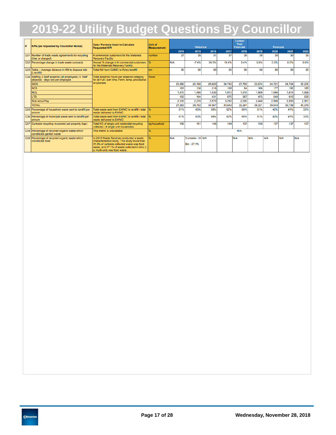| l#         | <b>KPIs (as requested by Councillor Nickel)</b>                                             | Data / Formula Used to Calculate<br><b>Requested KPI</b>                                                                                                                                                                     | <b>Unit of</b><br><b>Measurement</b> |        | <b>Historical</b>                |        |        | <b>Current</b><br>Year<br><b>Forecast</b> |        | <b>Forecast</b> |        |        |
|------------|---------------------------------------------------------------------------------------------|------------------------------------------------------------------------------------------------------------------------------------------------------------------------------------------------------------------------------|--------------------------------------|--------|----------------------------------|--------|--------|-------------------------------------------|--------|-----------------|--------|--------|
|            |                                                                                             |                                                                                                                                                                                                                              |                                      | 2014   | 2015                             | 2016   | 2017   | 2018                                      | 2019   | 2020            | 2021   | 2022   |
| <b>Q31</b> | Number of trade waste agreements for recycling<br>(free or charged)                         | # commercial customers for the Materials<br><b>Recovery Facility</b>                                                                                                                                                         | number                               | 27     | 25                               | 31     | 37     | 39                                        | 39     | 39              | 39     | 39     |
|            | Q32 Percentage change in trade waste contracts                                              | Annual % change in # commercial customers<br>for the Materials Recovery Facility                                                                                                                                             |                                      | N/A    | $-7.4%$                          | 24.0%  | 19.4%  | 5.4%                                      | 0.0%   | 0.0%            | 0.0%   | 0.0%   |
|            | Q33 Table - Average distance in KM to disposal site<br>(Landfill)                           | <b>Total KM from EWMC to Ryley landfill</b>                                                                                                                                                                                  | km                                   | 90     | 90                               | 90     | 90     | 90                                        | 90     | 90              | 90     | 90     |
|            | Q34 Staffing (I.Staff absence (all employees) II. Staff<br>absence - days lost per employee | <b>Total Absence Hours per absence category</b><br>for all Full / part time, Perm, temp, provisional                                                                                                                         | hours                                |        |                                  |        |        |                                           |        |                 |        |        |
|            | <b>SICK</b>                                                                                 | employees                                                                                                                                                                                                                    |                                      | 23,380 | 25,160                           | 29,820 | 34,740 | 27,760                                    | 33,674 | 34,721          | 34,764 | 35,235 |
|            | <b>NCS</b>                                                                                  |                                                                                                                                                                                                                              |                                      | 163    | 138                              | 216    | 168    | 64                                        | 166    | 177             | 182    | 185    |
|            | <b>MDL</b>                                                                                  |                                                                                                                                                                                                                              |                                      | 1,470  | 1,480                            | 1,530  | 1,810  | 1,510                                     | 1.569  | 1,596           | 1,614  | 1,658  |
|            | <b>LTD</b>                                                                                  |                                                                                                                                                                                                                              |                                      | 150    | 104                              | 431    | 675    | 957                                       | 473    | 540             | 615    | 639    |
|            | Sick w/out Pay                                                                              |                                                                                                                                                                                                                              |                                      | 2.100  | 2.270                            | 2,570  | 3.250  | 2,000                                     | 2.440  | 2,506           | 2,553  | 2,561  |
|            | <b>TOTAL</b>                                                                                |                                                                                                                                                                                                                              |                                      | 27,263 | 29.152                           | 34,567 | 40,642 | 32.291                                    | 38,321 | 39,540          | 39,728 | 40,279 |
|            | Q35 Percentage of household waste sent to landfill per<br>annum                             | Total waste sent from EWMC to landfill / total<br>waste delivered to EWMC                                                                                                                                                    |                                      | 61%    | 63%                              | 58%    | 62%    | 60%                                       | 51%    | 42%             | 41%    | 33%    |
|            | Q36 Percentage of municipal waste sent to landfill per<br>annum                             | Total waste sent from EWMC to landfill / total<br>waste delivered to EWMC                                                                                                                                                    |                                      | 61%    | 63%                              | 58%    | 62%    | 60%                                       | 51%    | 42%             | 41%    | 33%    |
|            | Q37 Curbside recycling recovered per property (kgs)                                         | Total KG of single unit residential recycling<br>collected / # single unit households                                                                                                                                        | ka/household                         | 166    | 151                              | 146    | 144    | 137                                       | 130    | 137             | 137    | 137    |
|            | Q38 Percentage of recycled organic waste which<br>constitutes garden waste                  | This metric is unavailable                                                                                                                                                                                                   |                                      |        |                                  |        |        | N/A                                       |        |                 |        |        |
|            | Q39 Percentage of recycled organic waste which<br>constitutes food                          | In 2015 Waste Services conducted a waste<br>characterisation study. This study found that<br>31.5% of curbside collected waste was food<br>waste, and 27,1% of waste collected in bins (i.<br>e. multi-unit) was food waste. |                                      | N/A    | Curbside - 31 N/A<br>Bin - 27.1% |        |        | N/A                                       | N/A    | N/A             | N/A    | N/A    |

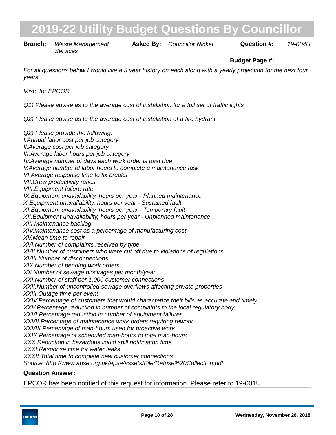**Branch:** Waste Management **Asked By:** Councillor Nickel **Question #:** 19-004U *Services*

### **Budget Page #:**

*For all questions below I would like a 5 year history on each along with a yearly projection for the next four years.*

*Misc. for EPCOR*

*Q1) Please advise as to the average cost of installation for a full set of traffic lights*

*Q2) Please advise as to the average cost of installation of a fire hydrant.*

*Q2) Please provide the following: I. Annual labor cost per job category II. Average cost per job category III. Average labor hours per job category IV. Average number of days each work order is past due V. Average number of labor hours to complete a maintenance task VI. Average response time to fix breaks VII. Crew productivity ratios VIII. Equipment failure rate* IX. Equipment unavailability, hours per year - Planned maintenance *X. Equipment unavailability, hours per year - Sustained fault XI. Equipment unavailability, hours per year - Temporary fault XII. Equipment unavailability, hours per year - Unplanned maintenance XIII. Maintenance backlog XIV. Maintenance cost as a percentage of manufacturing cost XV. Mean time to repair XVI. Number of complaints received by type XVII. Number of customers who were cut off due to violations of regulations XVIII. Number of disconnections XIX. Number of pending work orders XX. Number of sewage blockages per month/year XXI. Number of staff per 1,000 customer connections XXII. Number of uncontrolled sewage overflows affecting private properties XXIII. Outage time per event XXIV. Percentage of customers that would characterize their bills as accurate and timely XXV. Percentage reduction in number of complaints to the local regulatory body XXVI. Percentage reduction in number of equipment failures XXVII. Percentage of maintenance work orders requiring rework XXVIII. Percentage of man-hours used for proactive work XXIX. Percentage of scheduled man-hours to total man-hours XXX. Reduction in hazardous liquid spill notification time XXXI. Response time for water leaks XXXII. Total time to complete new customer connections Source: http://www.apse.org.uk/apse/assets/File/Refuse%20Collection.pdf*

#### **Question Answer:**

EPCOR has been notified of this request for information. Please refer to 19-001U.

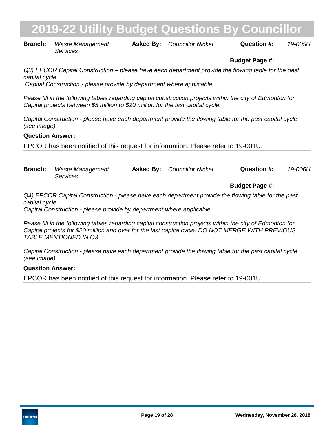# **2019 - In the University Budget Questions By Councillo**

**Branch:** Waste Management **Asked By:** Councillor Nickel **Question #:** 19-005U *Services*

### **Budget Page #:**

*Q3) EPCOR Capital Construction – please have each department provide the flowing table for the past capital cycle Capital Construction - please provide by department where applicable*

*Pease fill in the following tables regarding capital construction projects within the city of Edmonton for Capital projects between \$5 million to \$20 million for the last capital cycle.*

*Capital Construction - please have each department provide the flowing table for the past capital cycle (see image)*

#### **Question Answer:**

EPCOR has been notified of this request for information. Please refer to 19-001U.

*Councillor Nickel 19-006U* **Branch:** Waste Management *Services* **Asked By:**

**Budget Page #:**

*Q4) EPCOR Capital Construction - please have each department provide the flowing table for the past capital cycle*

*Capital Construction - please provide by department where applicable*

*Pease fill in the following tables regarding capital construction projects within the city of Edmonton for Capital projects for \$20 million and over for the last capital cycle. DO NOT MERGE WITH PREVIOUS TABLE MENTIONED IN Q3* 

*Capital Construction - please have each department provide the flowing table for the past capital cycle (see image)*

#### **Question Answer:**

EPCOR has been notified of this request for information. Please refer to 19-001U.

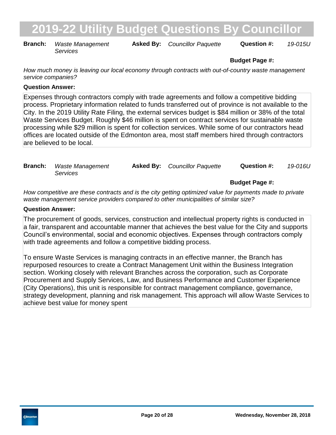**Branch:** Waste Management **Asked By:** Councillor Paquette **Question #:** 19-015U *Services*

### **Budget Page #:**

*How much money is leaving our local economy through contracts with out-of-country waste management service companies?*

### **Question Answer:**

Expenses through contractors comply with trade agreements and follow a competitive bidding process. Proprietary information related to funds transferred out of province is not available to the City. In the 2019 Utility Rate Filing, the external services budget is \$84 million or 38% of the total Waste Services Budget. Roughly \$46 million is spent on contract services for sustainable waste processing while \$29 million is spent for collection services. While some of our contractors head offices are located outside of the Edmonton area, most staff members hired through contractors are believed to be local.

| <b>Branch:</b> Waste Management | <b>Asked By:</b> Councillor Paquette | Question #: | 19-016U |
|---------------------------------|--------------------------------------|-------------|---------|
| Services                        |                                      |             |         |

**Budget Page #:**

*How competitive are these contracts and is the city getting optimized value for payments made to private waste management service providers compared to other municipalities of similar size?*

### **Question Answer:**

The procurement of goods, services, construction and intellectual property rights is conducted in a fair, transparent and accountable manner that achieves the best value for the City and supports Council's environmental, social and economic objectives. Expenses through contractors comply with trade agreements and follow a competitive bidding process.

To ensure Waste Services is managing contracts in an effective manner, the Branch has repurposed resources to create a Contract Management Unit within the Business Integration section. Working closely with relevant Branches across the corporation, such as Corporate Procurement and Supply Services, Law, and Business Performance and Customer Experience (City Operations), this unit is responsible for contract management compliance, governance, strategy development, planning and risk management. This approach will allow Waste Services to achieve best value for money spent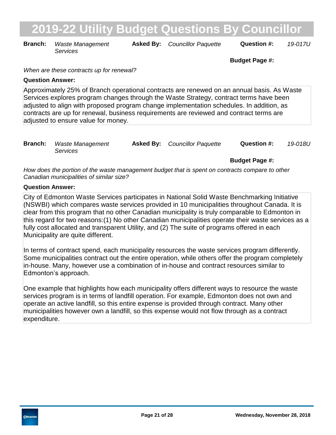**Branch:** Waste Management **Asked By:** Councillor Paquette **Question #:** 19-017U *Services*

**Budget Page #:**

*When are these contracts up for renewal?*

#### **Question Answer:**

Approximately 25% of Branch operational contracts are renewed on an annual basis. As Waste Services explores program changes through the Waste Strategy, contract terms have been adjusted to align with proposed program change implementation schedules. In addition, as contracts are up for renewal, business requirements are reviewed and contract terms are adiusted to ensure value for money.

| <b>Branch:</b> Waste Management | <b>Asked By:</b> Councillor Paquette | <b>Question #:</b> | 19-018U |
|---------------------------------|--------------------------------------|--------------------|---------|
| <i>Services</i>                 |                                      |                    |         |

**Budget Page #:**

*How does the portion of the waste management budget that is spent on contracts compare to other Canadian municipalities of similar size?*

### **Question Answer:**

City of Edmonton Waste Services participates in National Solid Waste Benchmarking Initiative (NSWBI) which compares waste services provided in 10 municipalities throughout Canada. It is clear from this program that no other Canadian municipality is truly comparable to Edmonton in this regard for two reasons:(1) No other Canadian municipalities operate their waste services as a fully cost allocated and transparent Utility, and (2) The suite of programs offered in each Municipality are quite different.

In terms of contract spend, each municipality resources the waste services program differently. Some municipalities contract out the entire operation, while others offer the program completely in-house. Many, however use a combination of in-house and contract resources similar to Edmonton's approach.

One example that highlights how each municipality offers different ways to resource the waste services program is in terms of landfill operation. For example, Edmonton does not own and operate an active landfill, so this entire expense is provided through contract. Many other municipalities however own a landfill, so this expense would not flow through as a contract expenditure.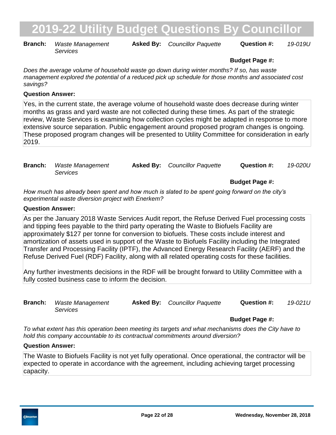**Branch:** Waste Management **Asked By:** Councillor Paquette **Question #:** 19-019U *Services*

### **Budget Page #:**

*Does the average volume of household waste go down during winter months? If so, has waste management explored the potential of a reduced pick up schedule for those months and associated cost savings?*

#### **Question Answer:**

Yes, in the current state, the average volume of household waste does decrease during winter months as grass and yard waste are not collected during these times. As part of the strategic review, Waste Services is examining how collection cycles might be adapted in response to more extensive source separation. Public engagement around proposed program changes is ongoing. These proposed program changes will be presented to Utility Committee for consideration in early 2019.

| <b>Branch:</b> Waste Management | <b>Asked By:</b> Councillor Paquette | Question #: | 19-020U |
|---------------------------------|--------------------------------------|-------------|---------|
| Services                        |                                      |             |         |

**Budget Page #:**

*How much has already been spent and how much is slated to be spent going forward on the city's experimental waste diversion project with Enerkem?*

#### **Question Answer:**

As per the January 2018 Waste Services Audit report, the Refuse Derived Fuel processing costs and tipping fees payable to the third party operating the Waste to Biofuels Facility are approximately \$127 per tonne for conversion to biofuels. These costs include interest and amortization of assets used in support of the Waste to Biofuels Facility including the Integrated Transfer and Processing Facility (IPTF), the Advanced Energy Research Facility (AERF) and the Refuse Derived Fuel (RDF) Facility, along with all related operating costs for these facilities.

Any further investments decisions in the RDF will be brought forward to Utility Committee with a fully costed business case to inform the decision.

| <b>Branch:</b> Waste Management | <b>Asked By:</b> Councillor Paquette | Question #: | 19-021U |
|---------------------------------|--------------------------------------|-------------|---------|
| Services                        |                                      |             |         |

### **Budget Page #:**

*To what extent has this operation been meeting its targets and what mechanisms does the City have to hold this company accountable to its contractual commitments around diversion?*

#### **Question Answer:**

The Waste to Biofuels Facility is not yet fully operational. Once operational, the contractor will be expected to operate in accordance with the agreement, including achieving target processing capacity.

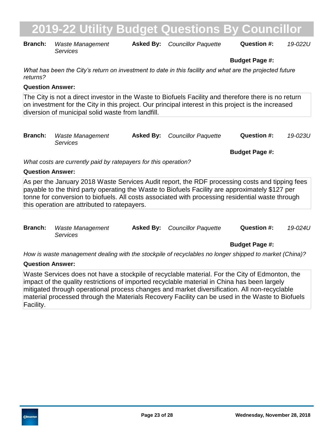| <b>Branch:</b> | Waste Management | <b>Asked By:</b> Councillor Paquette | Question #: | 19-022L |
|----------------|------------------|--------------------------------------|-------------|---------|
|                | Services         |                                      |             |         |

**Budget Page #:**

*What has been the City's return on investment to date in this facility and what are the projected future returns?*

#### **Question Answer:**

The City is not a direct investor in the Waste to Biofuels Facility and therefore there is no return on investment for the City in this project. Our principal interest in this project is the increased diversion of municipal solid waste from landfill.

| <b>Branch:</b> Waste Management<br>Services | <b>Asked By:</b> Councillor Paquette | Question #: | 19-023U |
|---------------------------------------------|--------------------------------------|-------------|---------|
|                                             |                                      |             |         |

**Budget Page #:**

*What costs are currently paid by ratepayers for this operation?*

#### **Question Answer:**

As per the January 2018 Waste Services Audit report, the RDF processing costs and tipping fees payable to the third party operating the Waste to Biofuels Facility are approximately \$127 per tonne for conversion to biofuels. All costs associated with processing residential waste through this operation are attributed to ratepayers.

| <b>Branch:</b> Waste Management | <b>Asked By:</b> Councillor Paquette | <b>Question #:</b> | 19-024U |
|---------------------------------|--------------------------------------|--------------------|---------|
| Services                        |                                      |                    |         |

### **Budget Page #:**

*How is waste management dealing with the stockpile of recyclables no longer shipped to market (China)?*

#### **Question Answer:**

Waste Services does not have a stockpile of recyclable material. For the City of Edmonton, the impact of the quality restrictions of imported recyclable material in China has been largely mitigated through operational process changes and market diversification. All non-recyclable material processed through the Materials Recovery Facility can be used in the Waste to Biofuels Facility.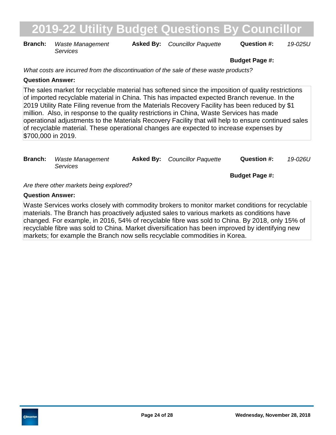**Branch:** Waste Management **Asked By:** Councillor Paquette **Question #:** 19-025U *Services*

#### **Budget Page #:**

*What costs are incurred from the discontinuation of the sale of these waste products?*

### **Question Answer:**

The sales market for recyclable material has softened since the imposition of quality restrictions of imported recyclable material in China. This has impacted expected Branch revenue. In the 2019 Utility Rate Filing revenue from the Materials Recovery Facility has been reduced by \$1 million. Also, in response to the quality restrictions in China, Waste Services has made operational adjustments to the Materials Recovery Facility that will help to ensure continued sales of recyclable material. These operational changes are expected to increase expenses by \$700,000 in 2019.

| <b>Branch:</b> | Waste Management<br>Services            | <b>Asked By:</b> Councillor Paquette | Question #:           | 19-026U |
|----------------|-----------------------------------------|--------------------------------------|-----------------------|---------|
|                |                                         |                                      | <b>Budget Page #:</b> |         |
|                | Are there other markets being explored? |                                      |                       |         |

### **Question Answer:**

Waste Services works closely with commodity brokers to monitor market conditions for recyclable materials. The Branch has proactively adjusted sales to various markets as conditions have changed. For example, in 2016, 54% of recyclable fibre was sold to China. By 2018, only 15% of recyclable fibre was sold to China. Market diversification has been improved by identifying new markets; for example the Branch now sells recyclable commodities in Korea.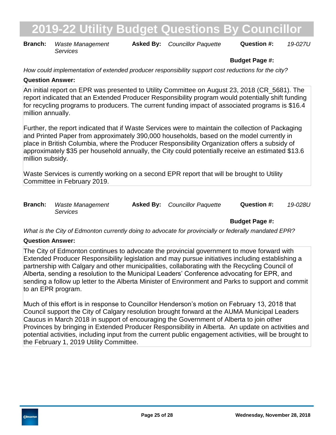**Branch:** Waste Management **Asked By:** Councillor Paquette **Question #:** 19-027U *Services*

### **Budget Page #:**

*How could implementation of extended producer responsibility support cost reductions for the city?*

### **Question Answer:**

An initial report on EPR was presented to Utility Committee on August 23, 2018 (CR\_5681). The report indicated that an Extended Producer Responsibility program would potentially shift funding for recycling programs to producers. The current funding impact of associated programs is \$16.4 million annually.

Further, the report indicated that if Waste Services were to maintain the collection of Packaging and Printed Paper from approximately 390,000 households, based on the model currently in place in British Columbia, where the Producer Responsibility Organization offers a subsidy of approximately \$35 per household annually, the City could potentially receive an estimated \$13.6 million subsidy.

Waste Services is currently working on a second EPR report that will be brought to Utility Committee in February 2019.

| <b>Branch:</b> | Waste Management | <b>Asked By:</b> Councillor Paquette | Question #: | 19-028U |
|----------------|------------------|--------------------------------------|-------------|---------|
|                | Services         |                                      |             |         |

**Budget Page #:**

*What is the City of Edmonton currently doing to advocate for provincially or federally mandated EPR?*

### **Question Answer:**

The City of Edmonton continues to advocate the provincial government to move forward with Extended Producer Responsibility legislation and may pursue initiatives including establishing a partnership with Calgary and other municipalities, collaborating with the Recycling Council of Alberta, sending a resolution to the Municipal Leaders' Conference advocating for EPR, and sending a follow up letter to the Alberta Minister of Environment and Parks to support and commit to an EPR program.

Much of this effort is in response to Councillor Henderson's motion on February 13, 2018 that Council support the City of Calgary resolution brought forward at the AUMA Municipal Leaders Caucus in March 2018 in support of encouraging the Government of Alberta to join other Provinces by bringing in Extended Producer Responsibility in Alberta. An update on activities and potential activities, including input from the current public engagement activities, will be brought to the February 1, 2019 Utility Committee.

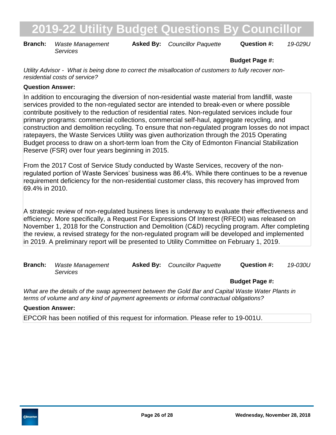**Branch:** Waste Management **Asked By:** Councillor Paquette **Question #:** 19-029U *Services*

### **Budget Page #:**

*Utility Advisor - What is being done to correct the misallocation of customers to fully recover nonresidential costs of service?*

### **Question Answer:**

In addition to encouraging the diversion of non-residential waste material from landfill, waste services provided to the non-regulated sector are intended to break-even or where possible contribute positively to the reduction of residential rates. Non-regulated services include four primary programs: commercial collections, commercial self-haul, aggregate recycling, and construction and demolition recycling. To ensure that non-regulated program losses do not impact ratepayers, the Waste Services Utility was given authorization through the 2015 Operating Budget process to draw on a short-term loan from the City of Edmonton Financial Stabilization Reserve (FSR) over four years beginning in 2015.

From the 2017 Cost of Service Study conducted by Waste Services, recovery of the nonregulated portion of Waste Services' business was 86.4%. While there continues to be a revenue requirement deficiency for the non-residential customer class, this recovery has improved from 69.4% in 2010.

A strategic review of non-regulated business lines is underway to evaluate their effectiveness and efficiency. More specifically, a Request For Expressions Of Interest (RFEOI) was released on November 1, 2018 for the Construction and Demolition (C&D) recycling program. After completing the review, a revised strategy for the non-regulated program will be developed and implemented in 2019. A preliminary report will be presented to Utility Committee on February 1, 2019.

| <b>Branch:</b> Waste Management | <b>Asked By:</b> Councillor Paquette | <b>Question #:</b> | 19-030U |
|---------------------------------|--------------------------------------|--------------------|---------|
| <i>Services</i>                 |                                      |                    |         |

**Budget Page #:**

*What are the details of the swap agreement between the Gold Bar and Capital Waste Water Plants in terms of volume and any kind of payment agreements or informal contractual obligations?*

#### **Question Answer:**

EPCOR has been notified of this request for information. Please refer to 19-001U.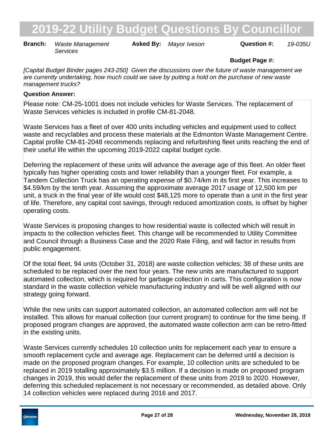**Branch:** Waste Management **Asked By:** Mayor Iveson **Question #:** 19-035U *Services*

### **Budget Page #:**

*[Capital Budget Binder pages 243-250] Given the discussions over the future of waste management we are currently undertaking, how much could we save by putting a hold on the purchase of new waste management trucks?*

### **Question Answer:**

Please note: CM-25-1001 does not include vehicles for Waste Services. The replacement of Waste Services vehicles is included in profile CM-81-2048.

Waste Services has a fleet of over 400 units including vehicles and equipment used to collect waste and recyclables and process these materials at the Edmonton Waste Management Centre. Capital profile CM-81-2048 recommends replacing and refurbishing fleet units reaching the end of their useful life within the upcoming 2019-2022 capital budget cycle.

Deferring the replacement of these units will advance the average age of this fleet. An older fleet typically has higher operating costs and lower reliability than a younger fleet. For example, a Tandem Collection Truck has an operating expense of \$0.74/km in its first year. This increases to \$4.59/km by the tenth year. Assuming the approximate average 2017 usage of 12,500 km per unit, a truck in the final year of life would cost \$48,125 more to operate than a unit in the first year of life. Therefore, any capital cost savings, through reduced amortization costs, is offset by higher operating costs.

Waste Services is proposing changes to how residential waste is collected which will result in impacts to the collection vehicles fleet. This change will be recommended to Utility Committee and Council through a Business Case and the 2020 Rate Filing, and will factor in results from public engagement.

Of the total fleet, 94 units (October 31, 2018) are waste collection vehicles; 38 of these units are scheduled to be replaced over the next four years. The new units are manufactured to support automated collection, which is required for garbage collection in carts. This configuration is now standard in the waste collection vehicle manufacturing industry and will be well aligned with our strategy going forward.

While the new units can support automated collection, an automated collection arm will not be installed. This allows for manual collection (our current program) to continue for the time being. If proposed program changes are approved, the automated waste collection arm can be retro-fitted in the existing units.

Waste Services currently schedules 10 collection units for replacement each year to ensure a smooth replacement cycle and average age. Replacement can be deferred until a decision is made on the proposed program changes. For example, 10 collection units are scheduled to be replaced in 2019 totalling approximately \$3.5 million. If a decision is made on proposed program changes in 2019, this would defer the replacement of these units from 2019 to 2020. However, deferring this scheduled replacement is not necessary or recommended, as detailed above. Only 14 collection vehicles were replaced during 2016 and 2017.